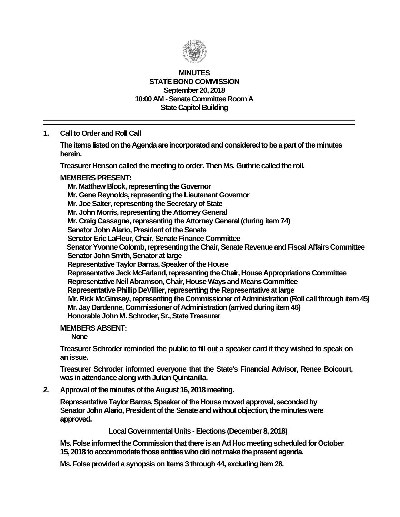

### **MINUTES STATE BOND COMMISSION September 20, 2018 10:00 AM - Senate Committee Room A State Capitol Building**

**1. Call to Order and Roll Call**

**The items listed on the Agenda are incorporated and considered to be a part of the minutes herein.**

**Treasurer Henson called the meeting to order. Then Ms. Guthrie called the roll.**

### **MEMBERS PRESENT:**

**Mr. Matthew Block, representing the Governor Mr. Gene Reynolds, representing the Lieutenant Governor Mr. Joe Salter, representing the Secretary of State Mr. John Morris, representing the Attorney General Mr. Craig Cassagne, representing the Attorney General (during item 74) Senator John Alario, President of the Senate Senator Eric LaFleur, Chair, Senate Finance Committee Senator Yvonne Colomb, representing the Chair, Senate Revenue and Fiscal Affairs Committee Senator John Smith, Senator at large Representative Taylor Barras, Speaker of the House Representative Jack McFarland, representing the Chair, House Appropriations Committee Representative Neil Abramson, Chair, House Ways and Means Committee Representative Phillip DeVillier, representing the Representative at large Mr. Rick McGimsey, representing the Commissioner of Administration (Roll call through item 45) Mr. Jay Dardenne, Commissioner of Administration (arrived during item 46) Honorable John M. Schroder, Sr., State Treasurer**

#### **MEMBERS ABSENT:**

**None**

**Treasurer Schroder reminded the public to fill out a speaker card it they wished to speak on anissue.**

**Treasurer Schroder informed everyone that the State's Financial Advisor, Renee Boicourt, was in attendance along with Julian Quintanilla.**

**2. Approval of the minutes of the August 16, 2018 meeting.**

**Representative Taylor Barras, Speaker of the House moved approval, seconded by Senator John Alario, President of the Senate and without objection, the minutes were approved.**

#### **Local Governmental Units - Elections (December 8, 2018)**

**Ms. Folse informed the Commission that there is an Ad Hoc meeting scheduled for October 15, 2018 to accommodate those entities who did not make the present agenda.**

**Ms. Folse provided a synopsis on Items 3 through 44, excluding item 28.**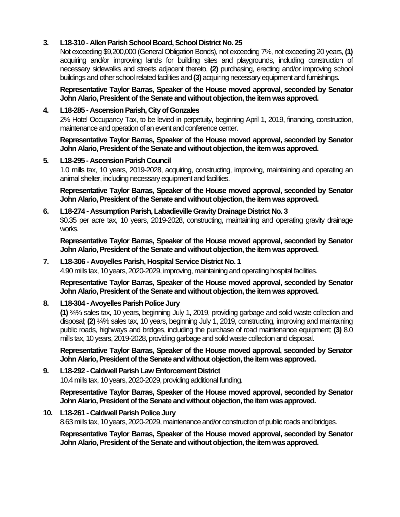# **3. L18-310 - Allen Parish School Board, School District No. 25**

Not exceeding \$9,200,000 (General Obligation Bonds), not exceeding 7%, not exceeding 20 years, **(1)** acquiring and/or improving lands for building sites and playgrounds, including construction of necessary sidewalks and streets adjacent thereto, **(2)** purchasing, erecting and/or improving school buildings and other school related facilities and **(3)** acquiring necessary equipment and furnishings.

**Representative Taylor Barras, Speaker of the House moved approval, seconded by Senator John Alario, President of the Senate and without objection, the item was approved.**

## **4. L18-285 - Ascension Parish, City of Gonzales**

2% Hotel Occupancy Tax, to be levied in perpetuity, beginning April 1, 2019, financing, construction, maintenance and operation of an event and conference center.

**Representative Taylor Barras, Speaker of the House moved approval, seconded by Senator John Alario, President of the Senate and without objection, the item was approved.**

## **5. L18-295 - Ascension Parish Council**

1.0 mills tax, 10 years, 2019-2028, acquiring, constructing, improving, maintaining and operating an animal shelter, including necessary equipment and facilities.

**Representative Taylor Barras, Speaker of the House moved approval, seconded by Senator John Alario, President of the Senate and without objection, the item was approved.**

#### **6. L18-274 - Assumption Parish, Labadieville Gravity Drainage District No. 3** \$0.35 per acre tax, 10 years, 2019-2028, constructing, maintaining and operating gravity drainage works.

**Representative Taylor Barras, Speaker of the House moved approval, seconded by Senator John Alario, President of the Senate and without objection, the item was approved.**

## **7. L18-306 - Avoyelles Parish, Hospital Service District No. 1**

4.90 mills tax, 10 years, 2020-2029, improving, maintaining and operating hospital facilities.

**Representative Taylor Barras, Speaker of the House moved approval, seconded by Senator John Alario, President of the Senate and without objection, the item was approved.**

### **8. L18-304 - Avoyelles Parish Police Jury**

**(1)** ¾% sales tax, 10 years, beginning July 1, 2019, providing garbage and solid waste collection and disposal; **(2)** ¼% sales tax, 10 years, beginning July 1, 2019, constructing, improving and maintaining public roads, highways and bridges, including the purchase of road maintenance equipment; **(3)** 8.0 mills tax, 10 years, 2019-2028, providing garbage and solid waste collection and disposal.

**Representative Taylor Barras, Speaker of the House moved approval, seconded by Senator John Alario, President of the Senate and without objection, the item was approved.**

# **9. L18-292 - Caldwell Parish Law Enforcement District**

10.4 mills tax, 10 years, 2020-2029, providing additional funding.

**Representative Taylor Barras, Speaker of the House moved approval, seconded by Senator John Alario, President of the Senate and without objection, the item was approved.**

### **10. L18-261 - Caldwell Parish Police Jury**

8.63 mills tax, 10 years, 2020-2029, maintenance and/or construction of public roads and bridges.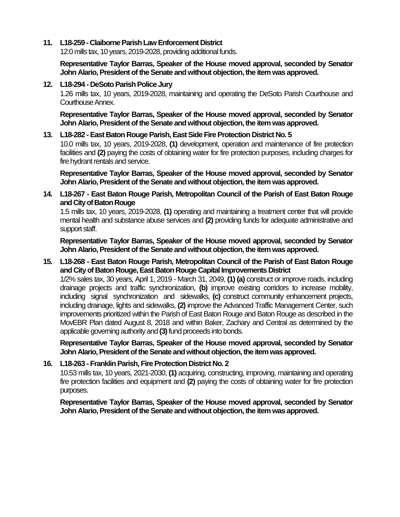#### **11. L18-259 - Claiborne Parish Law Enforcement District**

12.0 mills tax, 10 years, 2019-2028, providing additional funds.

**Representative Taylor Barras, Speaker of the House moved approval, seconded by Senator John Alario, President of the Senate and without objection, the item was approved.**

#### **12. L18-294 - DeSoto Parish Police Jury**

1.26 mills tax, 10 years, 2019-2028, maintaining and operating the DeSoto Parish Courthouse and Courthouse Annex.

**Representative Taylor Barras, Speaker of the House moved approval, seconded by Senator John Alario, President of the Senate and without objection, the item was approved.**

#### **13. L18-282 -East Baton Rouge Parish, East Side Fire Protection District No. 5**

10.0 mills tax, 10 years, 2019-2028, **(1)** development, operation and maintenance of fire protection facilities and **(2)** paying the costs of obtaining water for fire protection purposes, including charges for fire hydrant rentals and service.

**Representative Taylor Barras, Speaker of the House moved approval, seconded by Senator John Alario, President of the Senate and without objection, the item was approved.**

**14. L18-267 - East Baton Rouge Parish, Metropolitan Council of the Parish of East Baton Rouge and City of Baton Rouge**

1.5 mills tax, 10 years, 2019-2028, **(1)** operating and maintaining a treatment center that will provide mental health and substance abuse services and **(2)** providing funds for adequate administrative and support staff.

**Representative Taylor Barras, Speaker of the House moved approval, seconded by Senator John Alario, President of the Senate and without objection, the item was approved.**

**15. L18-268 - East Baton Rouge Parish, Metropolitan Council of the Parish of East Baton Rouge and City of Baton Rouge, East Baton Rouge Capital Improvements District**

1/2% sales tax, 30 years, April 1, 2019 - March 31, 2049, **(1) (a)** construct or improve roads, including drainage projects and traffic synchronization, **(b)** improve existing corridors to increase mobility, including signal synchronization and sidewalks, **(c)** construct community enhancement projects, including drainage, lights and sidewalks, **(2)** improve the Advanced Traffic Management Center, such improvements prioritized within the Parish of East Baton Rouge and Baton Rouge as described in the MovEBR Plan dated August 8, 2018 and within Baker, Zachary and Central as determined by the applicable governing authority and **(3)**fund proceeds into bonds.

**Representative Taylor Barras, Speaker of the House moved approval, seconded by Senator John Alario, President of the Senate and without objection, the item was approved.**

### **16. L18-263 - Franklin Parish, Fire Protection District No. 2**

10.53 mills tax, 10 years, 2021-2030, **(1)** acquiring, constructing, improving, maintaining and operating fire protection facilities and equipment and **(2)** paying the costs of obtaining water for fire protection purposes.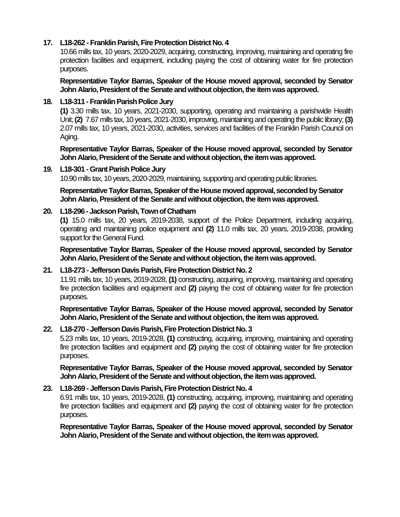## **17. L18-262 - Franklin Parish, Fire Protection District No. 4**

10.66 mills tax, 10 years, 2020-2029, acquiring, constructing, improving, maintaining and operating fire protection facilities and equipment, including paying the cost of obtaining water for fire protection purposes.

**Representative Taylor Barras, Speaker of the House moved approval, seconded by Senator John Alario, President of the Senate and without objection, the item was approved.**

### **18. L18-311 -Franklin Parish Police Jury**

**(1)** 3.30 mills tax, 10 years, 2021-2030, supporting, operating and maintaining a parishwide Health Unit;**(2)** 7.67 mills tax, 10 years, 2021-2030, improving, maintaining and operating the public library; **(3)** 2.07 mills tax, 10 years, 2021-2030, activities, services and facilities of the Franklin Parish Council on Aging.

**Representative Taylor Barras, Speaker of the House moved approval, seconded by Senator John Alario, President of the Senate and without objection, the item was approved.**

### **19. L18-301 -Grant Parish Police Jury**

10.90 mills tax, 10 years, 2020-2029, maintaining, supporting and operating public libraries.

**Representative Taylor Barras, Speaker of the House moved approval, seconded by Senator John Alario, President of the Senate and without objection, the item was approved.**

## **20. L18-296 -Jackson Parish, Town of Chatham**

**(1)** 15.0 mills tax, 20 years, 2019-2038, support of the Police Department, including acquiring, operating and maintaining police equipment and **(2)** 11.0 mills tax, 20 years, 2019-2038, providing support for the General Fund.

**Representative Taylor Barras, Speaker of the House moved approval, seconded by Senator John Alario, President of the Senate and without objection, the item was approved.**

### **21. L18-273 - Jefferson Davis Parish, Fire Protection District No. 2**

11.91 mills tax, 10 years, 2019-2028, **(1)** constructing, acquiring, improving, maintaining and operating fire protection facilities and equipment and **(2)** paying the cost of obtaining water for fire protection purposes.

**Representative Taylor Barras, Speaker of the House moved approval, seconded by Senator John Alario, President of the Senate and without objection, the item was approved.**

### **22. L18-270 - Jefferson Davis Parish, Fire Protection District No. 3**

5.23 mills tax, 10 years, 2019-2028, **(1)** constructing, acquiring, improving, maintaining and operating fire protection facilities and equipment and **(2)** paying the cost of obtaining water for fire protection purposes.

**Representative Taylor Barras, Speaker of the House moved approval, seconded by Senator**  John Alario, President of the Senate and without objection, the item was approved.

# **23. L18-269 - Jefferson Davis Parish, Fire Protection District No. 4**

6.91 mills tax, 10 years, 2019-2028, **(1)** constructing, acquiring, improving, maintaining and operating fire protection facilities and equipment and **(2)** paying the cost of obtaining water for fire protection purposes.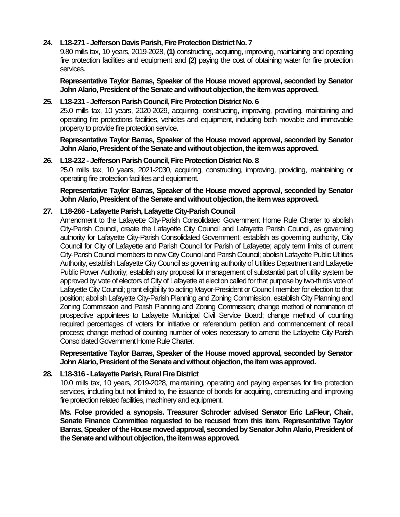## **24. L18-271 - Jefferson Davis Parish, Fire Protection District No. 7**

9.80 mills tax, 10 years, 2019-2028, **(1)** constructing, acquiring, improving, maintaining and operating fire protection facilities and equipment and **(2)** paying the cost of obtaining water for fire protection services.

**Representative Taylor Barras, Speaker of the House moved approval, seconded by Senator John Alario, President of the Senate and without objection, the item was approved.**

### **25. L18-231 - Jefferson Parish Council, Fire Protection District No. 6**

25.0 mills tax, 10 years, 2020-2029, acquiring, constructing, improving, providing, maintaining and operating fire protections facilities, vehicles and equipment, including both movable and immovable property to provide fire protection service.

**Representative Taylor Barras, Speaker of the House moved approval, seconded by Senator John Alario, President of the Senate and without objection, the item was approved.**

#### **26. L18-232 - Jefferson Parish Council, Fire Protection District No. 8**

25.0 mills tax, 10 years, 2021-2030, acquiring, constructing, improving, providing, maintaining or operating fire protection facilities and equipment.

**Representative Taylor Barras, Speaker of the House moved approval, seconded by Senator John Alario, President of the Senate and without objection, the item was approved.**

#### **27. L18-266 - Lafayette Parish, Lafayette City-Parish Council**

Amendment to the Lafayette City-Parish Consolidated Government Home Rule Charter to abolish City-Parish Council, create the Lafayette City Council and Lafayette Parish Council, as governing authority for Lafayette City-Parish Consolidated Government; establish as governing authority, City Council for City of Lafayette and Parish Council for Parish of Lafayette; apply term limits of current City-Parish Council members to new City Council and Parish Council; abolish Lafayette Public Utilities Authority, establish Lafayette City Council as governing authority of Utilities Department and Lafayette Public Power Authority; establish any proposal for management of substantial part of utility system be approved by vote of electors of City of Lafayette at election called for that purpose by two-thirds vote of Lafayette City Council; grant eligibility to acting Mayor-President or Council member for election to that position; abolish Lafayette City-Parish Planning and Zoning Commission, establish City Planning and Zoning Commission and Parish Planning and Zoning Commission; change method of nomination of prospective appointees to Lafayette Municipal Civil Service Board; change method of counting required percentages of voters for initiative or referendum petition and commencement of recall process; change method of counting number of votes necessary to amend the Lafayette City-Parish Consolidated Government Home Rule Charter.

**Representative Taylor Barras, Speaker of the House moved approval, seconded by Senator John Alario, President of the Senate and without objection, the item was approved.**

### **28. L18-316 - Lafayette Parish, Rural Fire District**

10.0 mills tax, 10 years, 2019-2028, maintaining, operating and paying expenses for fire protection services, including but not limited to, the issuance of bonds for acquiring, constructing and improving fire protection related facilities, machinery and equipment.

**Ms. Folse provided a synopsis. Treasurer Schroder advised Senator Eric LaFleur, Chair, Senate Finance Committee requested to be recused from this item. Representative Taylor Barras, Speaker of the House moved approval, seconded by Senator John Alario, President of the Senate and without objection, the item was approved.**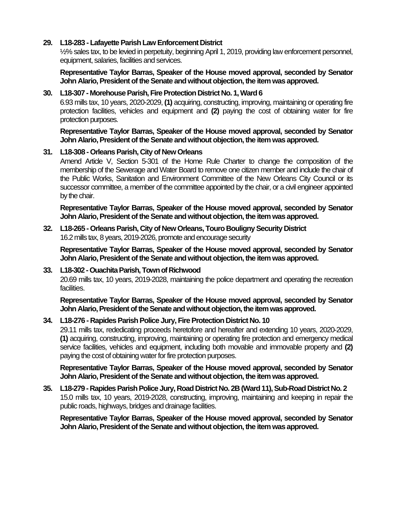### **29. L18-283 - Lafayette Parish Law Enforcement District**

½% sales tax, to be levied in perpetuity, beginning April 1, 2019, providing law enforcement personnel, equipment, salaries, facilities and services.

**Representative Taylor Barras, Speaker of the House moved approval, seconded by Senator John Alario, President of the Senate and without objection, the item was approved.**

### **30. L18-307 - Morehouse Parish, Fire Protection District No. 1, Ward 6**

6.93 mills tax, 10 years, 2020-2029, **(1)** acquiring, constructing, improving, maintaining or operating fire protection facilities, vehicles and equipment and **(2)** paying the cost of obtaining water for fire protection purposes.

**Representative Taylor Barras, Speaker of the House moved approval, seconded by Senator John Alario, President of the Senate and without objection, the item was approved.**

## **31. L18-308 - Orleans Parish, City of New Orleans**

Amend Article V, Section 5-301 of the Home Rule Charter to change the composition of the membership of the Sewerage and Water Board to remove one citizen member and include the chair of the Public Works, Sanitation and Environment Committee of the New Orleans City Council or its successor committee, a member of the committee appointed by the chair, or a civil engineer appointed by the chair.

**Representative Taylor Barras, Speaker of the House moved approval, seconded by Senator John Alario, President of the Senate and without objection, the item was approved.**

#### **32. L18-265 - Orleans Parish, City of New Orleans, Touro Bouligny Security District** 16.2 mills tax, 8 years, 2019-2026, promote and encourage security

**Representative Taylor Barras, Speaker of the House moved approval, seconded by Senator** John Alario, President of the Senate and without objection, the item was approved.

### **33. L18-302 -Ouachita Parish, Town of Richwood**

20.69 mills tax, 10 years, 2019-2028, maintaining the police department and operating the recreation facilities.

**Representative Taylor Barras, Speaker of the House moved approval, seconded by Senator John Alario, President of the Senate and without objection, the item was approved.**

### **34. L18-276 - Rapides Parish Police Jury, Fire Protection District No. 10**

29.11 mills tax, rededicating proceeds heretofore and hereafter and extending 10 years, 2020-2029, **(1)** acquiring, constructing, improving, maintaining or operating fire protection and emergency medical service facilities, vehicles and equipment, including both movable and immovable property and **(2)** paying the cost of obtaining water for fire protection purposes.

**Representative Taylor Barras, Speaker of the House moved approval, seconded by Senator John Alario, President of the Senate and without objection, the item was approved.**

## **35. L18-279 - Rapides Parish Police Jury, Road District No. 2B (Ward 11), Sub-Road District No. 2** 15.0 mills tax, 10 years, 2019-2028, constructing, improving, maintaining and keeping in repair the public roads, highways, bridges and drainage facilities.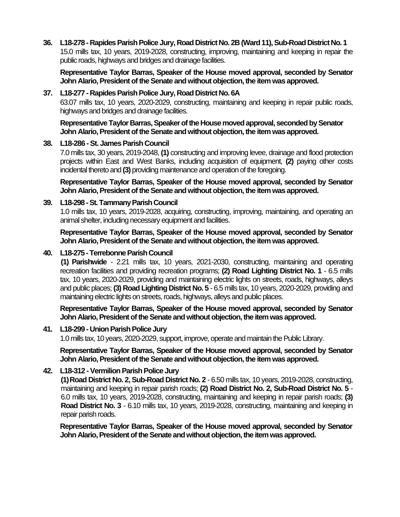**36. L18-278 - Rapides Parish Police Jury, Road District No. 2B (Ward 11), Sub-Road District No. 1** 15.0 mills tax, 10 years, 2019-2028, constructing, improving, maintaining and keeping in repair the public roads, highways and bridges and drainage facilities.

**Representative Taylor Barras, Speaker of the House moved approval, seconded by Senator John Alario, President of the Senate and without objection, the item was approved.**

#### **37. L18-277 - Rapides Parish Police Jury, Road District No. 6A**

63.07 mills tax, 10 years, 2020-2029, constructing, maintaining and keeping in repair public roads, highways and bridges and drainage facilities.

**Representative Taylor Barras, Speaker of the House moved approval, seconded by Senator John Alario, President of the Senate and without objection, the item was approved.**

#### **38. L18-286 -St. James Parish Council**

7.0 mills tax, 30 years, 2019-2048, **(1)** constructing and improving levee, drainage and flood protection projects within East and West Banks, including acquisition of equipment, **(2)** paying other costs incidental thereto and **(3)** providing maintenance and operation of the foregoing.

**Representative Taylor Barras, Speaker of the House moved approval, seconded by Senator John Alario, President of the Senate and without objection, the item was approved.**

#### **39. L18-298 -St. Tammany Parish Council**

1.0 mills tax, 10 years, 2019-2028, acquiring, constructing, improving, maintaining, and operating an animal shelter, including necessary equipment and facilities.

**Representative Taylor Barras, Speaker of the House moved approval, seconded by Senator John Alario, President of the Senate and without objection, the item was approved.**

#### **40. L18-275 -Terrebonne Parish Council**

**(1) Parishwide** - 2.21 mills tax, 10 years, 2021-2030, constructing, maintaining and operating recreation facilities and providing recreation programs; **(2) Road Lighting District No. 1** - 6.5 mills tax, 10 years, 2020-2029, providing and maintaining electric lights on streets, roads, highways, alleys and public places; **(3) Road Lighting District No. 5** - 6.5 mills tax, 10 years, 2020-2029, providing and maintaining electric lights on streets, roads, highways, alleys and public places.

**Representative Taylor Barras, Speaker of the House moved approval, seconded by Senator John Alario, President of the Senate and without objection, the item was approved.**

#### **41. L18-299 - Union Parish Police Jury**

1.0 mills tax, 10 years, 2020-2029, support, improve, operate and maintain the Public Library.

**Representative Taylor Barras, Speaker of the House moved approval, seconded by Senator John Alario, President of the Senate and without objection, the item was approved.**

### **42. L18-312 -Vermilion Parish Police Jury**

**(1)Road District No. 2, Sub-Road District No. 2** - 6.50 mills tax, 10 years, 2019-2028, constructing, maintaining and keeping in repair parish roads; **(2) Road District No. 2, Sub-Road District No. 5** - 6.0 mills tax, 10 years, 2019-2028, constructing, maintaining and keeping in repair parish roads; **(3) Road District No. 3** - 6.10 mills tax, 10 years, 2019-2028, constructing, maintaining and keeping in repair parish roads.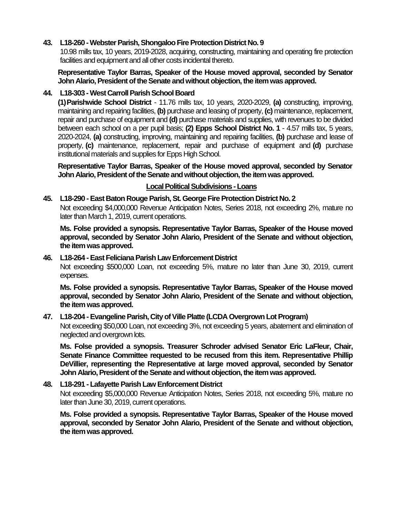### **43. L18-260 -Webster Parish, Shongaloo Fire Protection District No. 9**

10.98 mills tax, 10 years, 2019-2028, acquiring, constructing, maintaining and operating fire protection facilities and equipment and all other costs incidental thereto.

**Representative Taylor Barras, Speaker of the House moved approval, seconded by Senator John Alario, President of the Senate and without objection, the item was approved.**

## **44. L18-303 -West Carroll Parish School Board**

**(1)Parishwide School District** - 11.76 mills tax, 10 years, 2020-2029, **(a)** constructing, improving, maintaining and repairing facilities, **(b)** purchase and leasing of property, **(c)** maintenance, replacement, repair and purchase of equipment and **(d)** purchase materials and supplies, with revenues to be divided between each school on a per pupil basis; **(2) Epps School District No. 1** - 4.57 mills tax, 5 years, 2020-2024, **(a)** constructing, improving, maintaining and repairing facilities, **(b)** purchase and lease of property, **(c)** maintenance, replacement, repair and purchase of equipment and **(d)** purchase institutional materials and supplies for Epps High School.

**Representative Taylor Barras, Speaker of the House moved approval, seconded by Senator John Alario, President of the Senate and without objection, the item was approved.**

## **Local Political Subdivisions -Loans**

## **45. L18-290 -East Baton Rouge Parish, St. George Fire Protection District No. 2**

Not exceeding \$4,000,000 Revenue Anticipation Notes, Series 2018, not exceeding 2%, mature no later than March 1, 2019, current operations.

**Ms. Folse provided a synopsis. Representative Taylor Barras, Speaker of the House moved approval, seconded by Senator John Alario, President of the Senate and without objection, the item was approved.**

#### **46. L18-264 -East Feliciana Parish Law Enforcement District**

Not exceeding \$500,000 Loan, not exceeding 5%, mature no later than June 30, 2019, current expenses.

**Ms. Folse provided a synopsis. Representative Taylor Barras, Speaker of the House moved approval, seconded by Senator John Alario, President of the Senate and without objection, the item was approved.**

### **47. L18-204 -Evangeline Parish, City of Ville Platte (LCDA Overgrown Lot Program)**

Not exceeding \$50,000 Loan, not exceeding 3%, not exceeding 5 years, abatement and elimination of neglected and overgrown lots.

**Ms. Folse provided a synopsis. Treasurer Schroder advised Senator Eric LaFleur, Chair, Senate Finance Committee requested to be recused from this item. Representative Phillip DeVillier, representing the Representative at large moved approval, seconded by Senator**  John Alario, President of the Senate and without objection, the item was approved.

# **48. L18-291 - Lafayette Parish Law Enforcement District**

Not exceeding \$5,000,000 Revenue Anticipation Notes, Series 2018, not exceeding 5%, mature no later than June 30, 2019, current operations.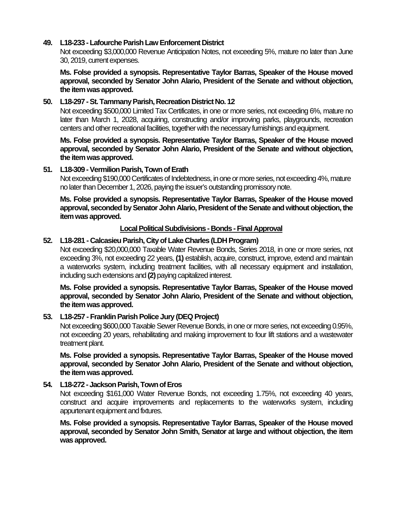### **49. L18-233 -Lafourche Parish Law Enforcement District**

Not exceeding \$3,000,000 Revenue Anticipation Notes, not exceeding 5%, mature no later than June 30, 2019, current expenses.

**Ms. Folse provided a synopsis. Representative Taylor Barras, Speaker of the House moved approval, seconded by Senator John Alario, President of the Senate and without objection, the item was approved.**

#### **50. L18-297 -St. Tammany Parish, Recreation District No. 12**

Not exceeding \$500,000 Limited Tax Certificates, in one or more series, not exceeding 6%, mature no later than March 1, 2028, acquiring, constructing and/or improving parks, playgrounds, recreation centers and other recreational facilities, together with the necessary furnishings and equipment.

**Ms. Folse provided a synopsis. Representative Taylor Barras, Speaker of the House moved approval, seconded by Senator John Alario, President of the Senate and without objection, the item was approved.**

#### **51. L18-309 -Vermilion Parish, Town of Erath**

Not exceeding \$190,000 Certificates of Indebtedness, in one or more series, not exceeding 4%, mature no later than December 1, 2026, paying the issuer's outstanding promissory note.

**Ms. Folse provided a synopsis. Representative Taylor Barras, Speaker of the House moved approval, seconded by Senator John Alario, President of the Senate and without objection, the item was approved.**

#### **Local Political Subdivisions - Bonds -Final Approval**

#### **52. L18-281 - Calcasieu Parish, City of Lake Charles (LDH Program)**

Not exceeding \$20,000,000 Taxable Water Revenue Bonds, Series 2018, in one or more series, not exceeding 3%, not exceeding 22 years, **(1)** establish, acquire, construct, improve, extend and maintain a waterworks system, including treatment facilities, with all necessary equipment and installation, including such extensions and **(2)** paying capitalized interest.

**Ms. Folse provided a synopsis. Representative Taylor Barras, Speaker of the House moved approval, seconded by Senator John Alario, President of the Senate and without objection, the item was approved.**

#### **53. L18-257 - Franklin Parish Police Jury (DEQ Project)**

Not exceeding \$600,000 Taxable Sewer Revenue Bonds, in one or more series, not exceeding 0.95%, not exceeding 20 years, rehabilitating and making improvement to four lift stations and a wastewater treatment plant.

**Ms. Folse provided a synopsis. Representative Taylor Barras, Speaker of the House moved approval, seconded by Senator John Alario, President of the Senate and without objection, the item was approved.**

### **54. L18-272 -Jackson Parish, Town of Eros**

Not exceeding \$161,000 Water Revenue Bonds, not exceeding 1.75%, not exceeding 40 years, construct and acquire improvements and replacements to the waterworks system, including appurtenant equipment and fixtures.

**Ms. Folse provided a synopsis. Representative Taylor Barras, Speaker of the House moved approval, seconded by Senator John Smith, Senator at large and without objection, the item was approved.**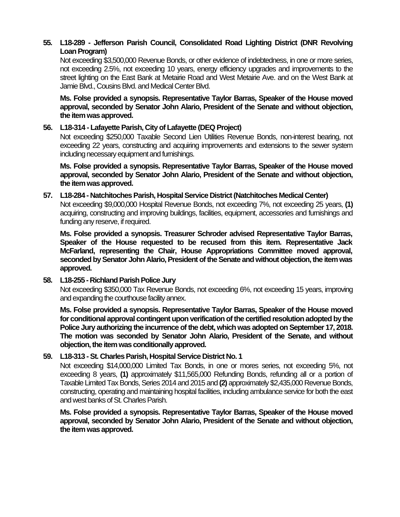## **55. L18-289 - Jefferson Parish Council, Consolidated Road Lighting District (DNR Revolving**  Loan Program)

Not exceeding \$3,500,000 Revenue Bonds, or other evidence of indebtedness, in one or more series, not exceeding 2.5%, not exceeding 10 years, energy efficiency upgrades and improvements to the street lighting on the East Bank at Metairie Road and West Metairie Ave. and on the West Bank at Jamie Blvd., Cousins Blvd. and Medical Center Blvd.

**Ms. Folse provided a synopsis. Representative Taylor Barras, Speaker of the House moved approval, seconded by Senator John Alario, President of the Senate and without objection, the item was approved.**

### **56. L18-314 - Lafayette Parish, City of Lafayette (DEQ Project)**

Not exceeding \$250,000 Taxable Second Lien Utilities Revenue Bonds, non-interest bearing, not exceeding 22 years, constructing and acquiring improvements and extensions to the sewer system including necessary equipment and furnishings.

**Ms. Folse provided a synopsis. Representative Taylor Barras, Speaker of the House moved approval, seconded by Senator John Alario, President of the Senate and without objection, the item was approved.**

### **57. L18-284 - Natchitoches Parish, Hospital Service District (Natchitoches Medical Center)**

Not exceeding \$9,000,000 Hospital Revenue Bonds, not exceeding 7%, not exceeding 25 years, **(1)** acquiring, constructing and improving buildings, facilities, equipment, accessories and furnishings and funding any reserve, if required.

**Ms. Folse provided a synopsis. Treasurer Schroder advised Representative Taylor Barras, Speaker of the House requested to be recused from this item. Representative Jack McFarland, representing the Chair, House Appropriations Committee moved approval, seconded by Senator John Alario, President of the Senate and without objection, the item was approved.**

### **58. L18-255 - Richland Parish Police Jury**

Not exceeding \$350,000 Tax Revenue Bonds, not exceeding 6%, not exceeding 15 years, improving and expanding the courthouse facility annex.

**Ms. Folse provided a synopsis. Representative Taylor Barras, Speaker of the House moved for conditional approval contingent upon verification of the certified resolution adopted by the Police Jury authorizing the incurrence of the debt, which was adopted on September 17, 2018. The motion was seconded by Senator John Alario, President of the Senate, and without objection, the itemwas conditionally approved.**

### **59. L18-313 -St. Charles Parish, Hospital Service District No. 1**

Not exceeding \$14,000,000 Limited Tax Bonds, in one or mores series, not exceeding 5%, not exceeding 8 years, **(1)** approximately \$11,565,000 Refunding Bonds, refunding all or a portion of Taxable Limited Tax Bonds, Series 2014 and 2015 and **(2)** approximately \$2,435,000 Revenue Bonds, constructing, operating and maintaining hospital facilities, including ambulance service for both the east and west banks of St. Charles Parish.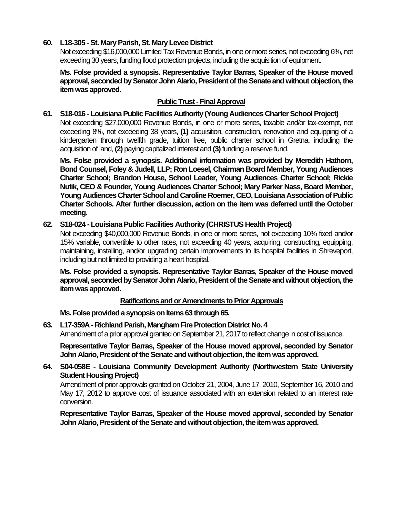## **60. L18-305 -St. Mary Parish, St. Mary Levee District**

Not exceeding \$16,000,000 Limited Tax Revenue Bonds, in one or more series, not exceeding 6%, not exceeding 30 years, funding flood protection projects, including the acquisition of equipment.

**Ms. Folse provided a synopsis. Representative Taylor Barras, Speaker of the House moved approval, seconded by Senator John Alario, President of the Senate and without objection, the item was approved.**

## **Public Trust - Final Approval**

### **61. S18-016 - Louisiana Public Facilities Authority (Young Audiences Charter School Project)**

Not exceeding \$27,000,000 Revenue Bonds, in one or more series, taxable and/or tax-exempt, not exceeding 8%, not exceeding 38 years, **(1)** acquisition, construction, renovation and equipping of a kindergarten through twelfth grade, tuition free, public charter school in Gretna, including the acquisition of land, **(2)** paying capitalized interest and **(3)**funding a reserve fund.

**Ms. Folse provided a synopsis. Additional information was provided by Meredith Hathorn, Bond Counsel, Foley & Judell, LLP; Ron Loesel, Chairman Board Member, Young Audiences Charter School; Brandon House, School Leader, Young Audiences Charter School; Rickie Nutik, CEO & Founder, Young Audiences Charter School; Mary Parker Nass, Board Member, Young Audiences Charter School and Caroline Roemer, CEO, Louisiana Association of Public Charter Schools. After further discussion, action on the item was deferred until the October meeting.**

### **62. S18-024 - Louisiana Public Facilities Authority (CHRISTUS Health Project)**

Not exceeding \$40,000,000 Revenue Bonds, in one or more series, not exceeding 10% fixed and/or 15% variable, convertible to other rates, not exceeding 40 years, acquiring, constructing, equipping, maintaining, installing, and/or upgrading certain improvements to its hospital facilities in Shreveport, including but not limited to providing a heart hospital.

**Ms. Folse provided a synopsis. Representative Taylor Barras, Speaker of the House moved approval, seconded by Senator John Alario, President of the Senate and without objection, the item was approved.**

### **Ratifications and or Amendments to Prior Approvals**

**Ms. Folse provided a synopsis on Items 63 through 65.**

**63. L17-359A - Richland Parish, ManghamFire Protection District No. 4** Amendment of a prior approval granted on September 21, 2017 to reflect change in cost of issuance.

**Representative Taylor Barras, Speaker of the House moved approval, seconded by Senator John Alario, President of the Senate and without objection, the item was approved.**

**64. S04-058E - Louisiana Community Development Authority (Northwestern State University Student Housing Project)**

Amendment of prior approvals granted on October 21, 2004, June 17, 2010, September 16, 2010 and May 17, 2012 to approve cost of issuance associated with an extension related to an interest rate conversion.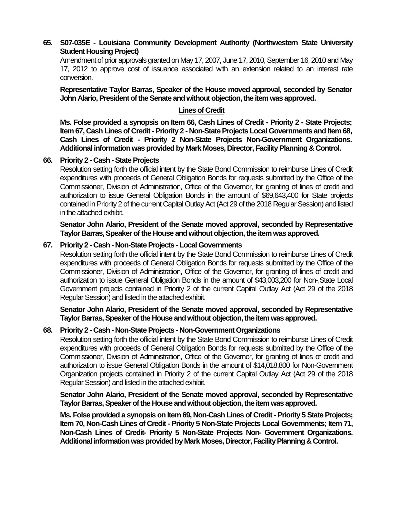## **65. S07-035E - Louisiana Community Development Authority (Northwestern State University Student Housing Project)**

Amendment of prior approvals granted on May 17, 2007, June 17, 2010, September 16, 2010 and May 17, 2012 to approve cost of issuance associated with an extension related to an interest rate conversion.

**Representative Taylor Barras, Speaker of the House moved approval, seconded by Senator John Alario, President of the Senate and without objection, the item was approved.**

# **Lines of Credit**

**Ms. Folse provided a synopsis on Item 66, Cash Lines of Credit - Priority 2 - State Projects; Item 67, Cash Lines of Credit - Priority 2 - Non-State Projects Local Governments and Item 68, Cash Lines of Credit - Priority 2 Non-State Projects Non-Government Organizations. Additional information was provided by Mark Moses, Director, Facility Planning & Control.** 

### **66. Priority 2 - Cash -State Projects**

Resolution setting forth the official intent by the State Bond Commission to reimburse Lines of Credit expenditures with proceeds of General Obligation Bonds for requests submitted by the Office of the Commissioner, Division of Administration, Office of the Governor, for granting of lines of credit and authorization to issue General Obligation Bonds in the amount of \$69,643,400 for State projects contained in Priority 2 of the current Capital Outlay Act (Act 29 of the 2018 Regular Session) and listed in the attached exhibit.

**Senator John Alario, President of the Senate moved approval, seconded by Representative Taylor Barras, Speaker of the House and without objection, the item was approved.**

#### **67. Priority 2 - Cash - Non-State Projects -Local Governments**

Resolution setting forth the official intent by the State Bond Commission to reimburse Lines of Credit expenditures with proceeds of General Obligation Bonds for requests submitted by the Office of the Commissioner, Division of Administration, Office of the Governor, for granting of lines of credit and authorization to issue General Obligation Bonds in the amount of \$43,003,200 for Non-,State Local Government projects contained in Priority 2 of the current Capital Outlay Act (Act 29 of the 2018 Regular Session) and listed in the attached exhibit.

**Senator John Alario, President of the Senate moved approval, seconded by Representative Taylor Barras, Speaker of the House and without objection, the item was approved.**

#### **68. Priority 2 - Cash - Non-State Projects - Non-Government Organizations**

Resolution setting forth the official intent by the State Bond Commission to reimburse Lines of Credit expenditures with proceeds of General Obligation Bonds for requests submitted by the Office of the Commissioner, Division of Administration, Office of the Governor, for granting of lines of credit and authorization to issue General Obligation Bonds in the amount of \$14,018,800 for Non-Government Organization projects contained in Priority 2 of the current Capital Outlay Act (Act 29 of the 2018 Regular Session) and listed in the attached exhibit.

**Senator John Alario, President of the Senate moved approval, seconded by Representative Taylor Barras, Speaker of the House and without objection, the item was approved.**

**Ms. Folse provided a synopsis on Item 69, Non-Cash Lines of Credit - Priority 5 State Projects; Item 70, Non-Cash Lines of Credit - Priority 5 Non-State Projects Local Governments; Item 71, Non-Cash Lines of Credit- Priority 5 Non-State Projects Non- Government Organizations. Additional information was provided by Mark Moses, Director, Facility Planning & Control.**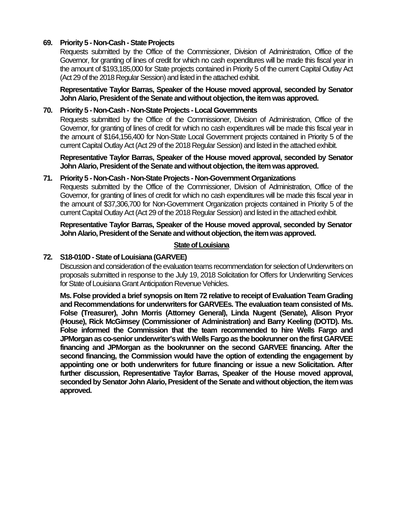### **69. Priority 5 - Non-Cash -State Projects**

Requests submitted by the Office of the Commissioner, Division of Administration, Office of the Governor, for granting of lines of credit for which no cash expenditures will be made this fiscal year in the amount of \$193,185,000 for State projects contained in Priority 5 of the current Capital Outlay Act (Act 29 of the 2018 Regular Session) and listed in the attached exhibit.

**Representative Taylor Barras, Speaker of the House moved approval, seconded by Senator John Alario, President of the Senate and without objection, the item was approved.**

### **70. Priority 5 - Non-Cash - Non-State Projects - Local Governments**

Requests submitted by the Office of the Commissioner, Division of Administration, Office of the Governor, for granting of lines of credit for which no cash expenditures will be made this fiscal year in the amount of \$164,156,400 for Non-State Local Government projects contained in Priority 5 of the current Capital Outlay Act (Act 29 of the 2018 Regular Session) and listed in the attached exhibit.

**Representative Taylor Barras, Speaker of the House moved approval, seconded by Senator John Alario, President of the Senate and without objection, the item was approved.**

## **71. Priority 5 - Non-Cash - Non-State Projects - Non-Government Organizations**

Requests submitted by the Office of the Commissioner, Division of Administration, Office of the Governor, for granting of lines of credit for which no cash expenditures will be made this fiscal year in the amount of \$37,306,700 for Non-Government Organization projects contained in Priority 5 of the current Capital Outlay Act (Act 29 of the 2018 Regular Session) and listed in the attached exhibit.

**Representative Taylor Barras, Speaker of the House moved approval, seconded by Senator**  John Alario, President of the Senate and without objection, the item was approved.

### **State of Louisiana**

### **72. S18-010D -State of Louisiana (GARVEE)**

Discussion and consideration of the evaluation teams recommendation for selection of Underwriters on proposals submitted in response to the July 19, 2018 Solicitation for Offers for Underwriting Services for State of Louisiana Grant Anticipation Revenue Vehicles.

**Ms. Folse provided a brief synopsis on Item 72 relative to receipt of Evaluation Team Grading and Recommendations for underwriters for GARVEEs. The evaluation team consisted of Ms. Folse (Treasurer), John Morris (Attorney General), Linda Nugent (Senate), Alison Pryor (House), Rick McGimsey (Commissioner of Administration) and Barry Keeling (DOTD). Ms. Folse informed the Commission that the team recommended to hire Wells Fargo and JPMorgan as co-senior underwriter's with Wells Fargo as the bookrunner on the firstGARVEE financing and JPMorgan as the bookrunner on the second GARVEE financing. After the second financing, the Commission would have the option of extending the engagement by appointing one or both underwriters for future financing or issue a new Solicitation. After further discussion, Representative Taylor Barras, Speaker of the House moved approval, seconded by Senator John Alario, President of the Senate and without objection, the item was approved.**